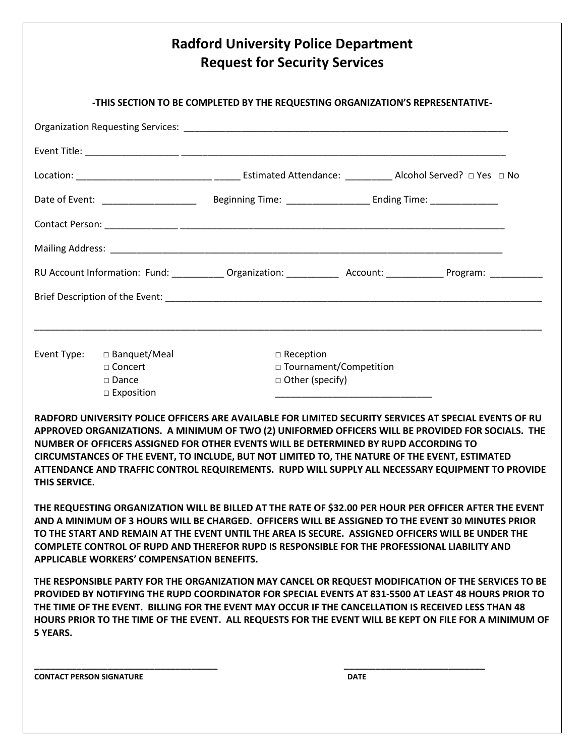## **Radford University Police Department Request for Security Services -THIS SECTION TO BE COMPLETED BY THE REQUESTING ORGANIZATION'S REPRESENTATIVE-**Organization Requesting Services: **Example 20** and the service of the service of the service of the service of the service of the service of the service of the service of the service of the service of the service of the se Event Title: \_\_\_\_\_\_\_\_\_\_\_\_\_\_\_\_\_\_ \_\_\_\_\_\_\_\_\_\_\_\_\_\_\_\_\_\_\_\_\_\_\_\_\_\_\_\_\_\_\_\_\_\_\_\_\_\_\_\_\_\_\_\_\_\_\_\_\_\_\_\_\_\_\_\_\_\_\_\_\_\_ Location: \_\_\_\_\_\_\_\_\_\_\_\_\_\_\_\_\_\_\_\_\_\_\_\_\_\_ \_\_\_\_\_ Estimated Attendance: \_\_\_\_\_\_\_\_\_ Alcohol Served? □ Yes □ No Date of Event: \_\_\_\_\_\_\_\_\_\_\_\_\_\_\_\_\_\_ Beginning Time: \_\_\_\_\_\_\_\_\_\_\_\_\_\_\_\_ Ending Time: \_\_\_\_\_\_\_\_\_\_\_\_\_ Contact Person: \_\_\_\_\_\_\_\_\_\_\_\_\_\_ \_\_\_\_\_\_\_\_\_\_\_\_\_\_\_\_\_\_\_\_\_\_\_\_\_\_\_\_\_\_\_\_\_\_\_\_\_\_\_\_\_\_\_\_\_\_\_\_\_\_\_\_\_\_\_\_\_\_\_\_\_\_ Mailing Address: **Wallet** RU Account Information: Fund: \_\_\_\_\_\_\_\_\_\_\_\_ Organization: \_\_\_\_\_\_\_\_\_\_\_ Account: \_\_\_\_\_\_\_\_\_\_\_\_ Program: \_\_\_\_\_\_\_\_\_\_ Brief Description of the Event: \_\_\_\_\_\_\_\_\_\_\_\_\_\_\_\_\_\_\_\_\_\_\_\_\_\_\_\_\_\_\_\_\_\_\_\_\_\_\_\_\_\_\_\_\_\_\_\_\_\_\_\_\_\_\_\_\_\_\_\_\_\_\_\_\_\_\_\_\_\_\_\_ \_\_\_\_\_\_\_\_\_\_\_\_\_\_\_\_\_\_\_\_\_\_\_\_\_\_\_\_\_\_\_\_\_\_\_\_\_\_\_\_\_\_\_\_\_\_\_\_\_\_\_\_\_\_\_\_\_\_\_\_\_\_\_\_\_\_\_\_\_\_\_\_\_\_\_\_\_\_\_\_\_\_\_\_\_\_\_\_\_\_\_\_\_\_\_\_\_ Event Type: □ Banquet/Meal □ □ Reception □ Concert □ Dournament/Competition □ Dance □ □ Other (specify)  $\square$  Exposition **RADFORD UNIVERSITY POLICE OFFICERS ARE AVAILABLE FOR LIMITED SECURITY SERVICES AT SPECIAL EVENTS OF RU APPROVED ORGANIZATIONS. A MINIMUM OF TWO (2) UNIFORMED OFFICERS WILL BE PROVIDED FOR SOCIALS. THE NUMBER OF OFFICERS ASSIGNED FOR OTHER EVENTS WILL BE DETERMINED BY RUPD ACCORDING TO CIRCUMSTANCES OF THE EVENT, TO INCLUDE, BUT NOT LIMITED TO, THE NATURE OF THE EVENT, ESTIMATED ATTENDANCE AND TRAFFIC CONTROL REQUIREMENTS. RUPD WILL SUPPLY ALL NECESSARY EQUIPMENT TO PROVIDE THIS SERVICE. THE REQUESTING ORGANIZATION WILL BE BILLED AT THE RATE OF \$32.00 PER HOUR PER OFFICER AFTER THE EVENT AND A MINIMUM OF 3 HOURS WILL BE CHARGED. OFFICERS WILL BE ASSIGNED TO THE EVENT 30 MINUTES PRIOR TO THE START AND REMAIN AT THE EVENT UNTIL THE AREA IS SECURE. ASSIGNED OFFICERS WILL BE UNDER THE COMPLETE CONTROL OF RUPD AND THEREFOR RUPD IS RESPONSIBLE FOR THE PROFESSIONAL LIABILITY AND APPLICABLE WORKERS' COMPENSATION BENEFITS. THE RESPONSIBLE PARTY FOR THE ORGANIZATION MAY CANCEL OR REQUEST MODIFICATION OF THE SERVICES TO BE**

**PROVIDED BY NOTIFYING THE RUPD COORDINATOR FOR SPECIAL EVENTS AT 831-5500 AT LEAST 48 HOURS PRIOR TO THE TIME OF THE EVENT. BILLING FOR THE EVENT MAY OCCUR IF THE CANCELLATION IS RECEIVED LESS THAN 48 HOURS PRIOR TO THE TIME OF THE EVENT. ALL REQUESTS FOR THE EVENT WILL BE KEPT ON FILE FOR A MINIMUM OF 5 YEARS.**

**\_\_\_\_\_\_\_\_\_\_\_\_\_\_\_\_\_\_\_\_\_\_\_\_\_\_\_\_\_\_\_\_\_\_\_ \_\_\_\_\_\_\_\_\_\_\_\_\_\_\_\_\_\_\_\_\_\_\_\_\_\_\_**

**CONTACT PERSON SIGNATURE DATE**